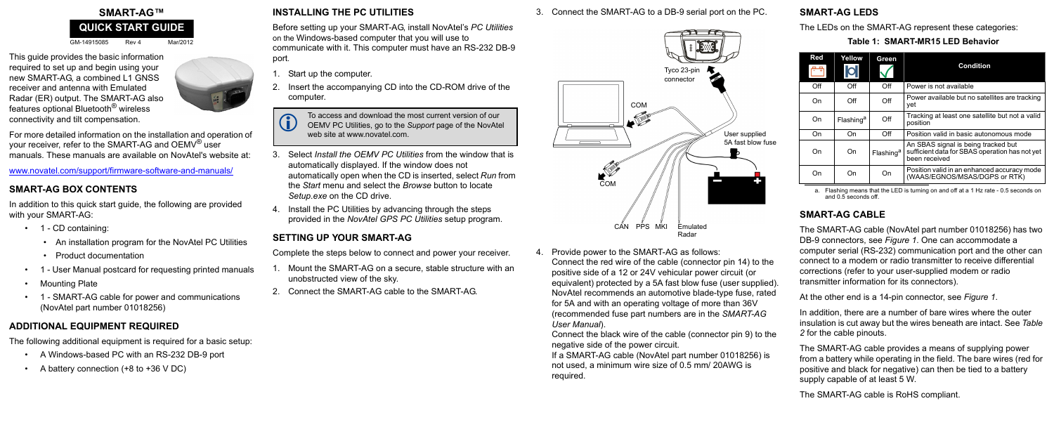GM-14915085 Rev 4 Mar/2012

This guide provides the basic information required to set up and begin using your new SMART-AG, a combined L1 GNSS receiver and antenna with Emulated Radar (ER) output. The SMART-AG also features optional Bluetooth® wireless connectivity and tilt compensation.



For more detailed information on the installation and operation of your receiver, refer to the SMART-AG and OEMV<sup>®</sup> user manuals. These manuals are available on NovAtel's website at:

- 1 CD containing:
	- An installation program for the NovAtel PC Utilities
	- Product documentation
- 1 User Manual postcard for requesting printed manuals
- Mounting Plate
- 1 SMART-AG cable for power and communications (NovAtel part number 01018256)

www.novatel.com/support/firmware-software-and-manuals/

#### **SMART-AG BOX CONTENTS**

In addition to this quick start guide, the following are provided with your SMART-AG:

- Start up the computer.
- 2. Insert the accompanying CD into the CD-ROM drive of the computer.

#### **ADDITIONAL EQUIPMENT REQUIRED**

The following additional equipment is required for a basic setup:

- A Windows-based PC with an RS-232 DB-9 port
- A battery connection (+8 to +36 V DC)

## **INSTALLING THE PC UTILITIES**

Before setting up your SMART-AG, install NovAtel's *PC Utilities* on the Windows-based computer that you will use to communicate with it. This computer must have an RS-232 DB-9 port*.*

- 3. Select *Install the OEMV PC Utilities* from the window that is automatically displayed. If the window does not automatically open when the CD is inserted, select *Run* from the *Start* menu and select the *Browse* button to locate *Setup.exe* on the CD drive.
- 4. Install the PC Utilities by advancing through the steps provided in the *NovAtel GPS PC Utilities* setup program.

# <span id="page-0-0"></span>**SETTING UP YOUR SMART-AG**

# **SMART-AG™ QUICK START GUIDE**

Complete the steps below to connect and power your receiver.

To access and download the most current version of our<br>OEMV PC Utilities, go to the *Support* page of the NovAtel web site at www.novatel.com.

- 1. Mount the SMART-AG on a secure, stable structure with an unobstructed view of the sky.
- 2. Connect the SMART-AG cable to the SMART-AG.

#### 3. Connect the SMART-AG to a DB-9 serial port on the PC.

4. Provide power to the SMART-AG as follows: Connect the red wire of the cable (connector pin 14) to the positive side of a 12 or 24V vehicular power circuit (or equivalent) protected by a 5A fast blow fuse (user supplied). NovAtel recommends an automotive blade-type fuse, rated for 5A and with an operating voltage of more than 36V (recommended fuse part numbers are in the *SMART-AG User Manual*).

Connect the black wire of the cable (connector pin 9) to the negative side of the power circuit.

If a SMART-AG cable (NovAtel part number 01018256) is not used, a minimum wire size of 0.5 mm/ 20AWG is required.

#### **SMART-AG LEDS**

The LEDs on the SMART-AG represent these categories:

#### **SMART-AG CABLE**

The SMART-AG cable (NovAtel part number 01018256) has two DB-9 connectors, see *Figure 1*. One can accommodate a computer serial (RS-232) communication port and the other can connect to a modem or radio transmitter to receive differential corrections (refer to your user-supplied modem or radio transmitter information for its connectors).

At the other end is a 14-pin connector, see *Figure 1*.

In addition, there are a number of bare wires where the outer insulation is cut away but the wires beneath are intact. See *[Table](#page-1-0)  [2](#page-1-0)* for the cable pinouts.

The SMART-AG cable provides a means of supplying power from a battery while operating in the field. The bare wires (red for positive and black for negative) can then be tied to a battery supply capable of at least 5 W.

The SMART-AG cable is RoHS compliant.



 **Table 1: SMART-MR15 LED Behavior**

a. Flashing means that the LED is turning on and off at a 1 Hz rate - 0.5 seconds on and 0.5 seconds off.

| Red | Yellow<br> O          | Green                 | <b>Condition</b>                                                                                       |
|-----|-----------------------|-----------------------|--------------------------------------------------------------------------------------------------------|
| Off | Off                   | Off                   | Power is not available                                                                                 |
| On  | Off                   | Off                   | Power available but no satellites are tracking<br>vet                                                  |
| On  | Flashing <sup>a</sup> | Off                   | Tracking at least one satellite but not a valid<br>position                                            |
| On  | On                    | Off                   | Position valid in basic autonomous mode                                                                |
| On  | On                    | Flashing <sup>a</sup> | An SBAS signal is being tracked but<br>sufficient data for SBAS operation has not yet<br>been received |
| On  | On                    | On                    | Position valid in an enhanced accuracy mode<br>(WAAS/EGNOS/MSAS/DGPS or RTK)                           |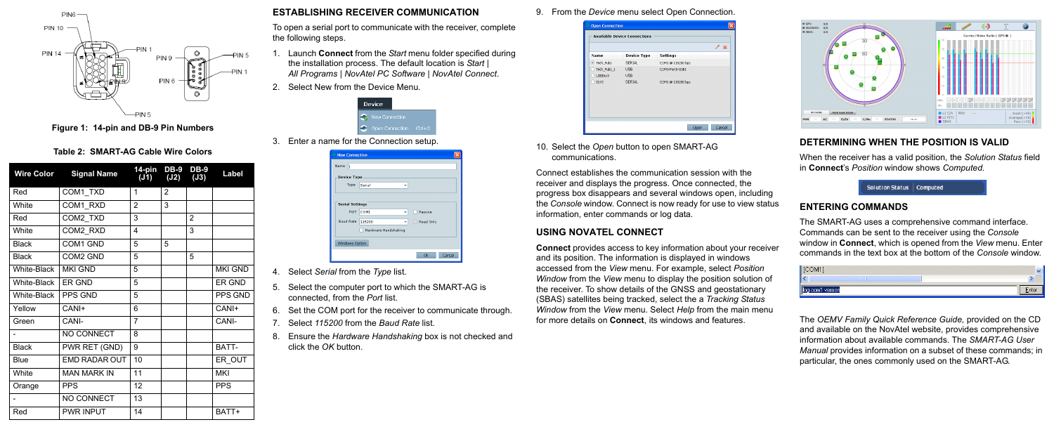

 **Figure 1: 14-pin and DB-9 Pin Numbers**

#### **ESTABLISHING RECEIVER COMMUNICATION**

To open a serial port to communicate with the receiver, complete the following steps.

- 1. Launch **Connect** from the *Start* menu folder specified during the installation process. The default location is *Start | All Programs | NovAtel PC Software | NovAtel Connect*.
- 2. Select New from the Device Menu*.*

|  | Device                |              |
|--|-----------------------|--------------|
|  | <b>New Connection</b> |              |
|  | Open Connection       | $C$ trl+ $C$ |

3. Enter a name for the Connection setup.

| Device Type |                                |  |           |  |  |  |  |
|-------------|--------------------------------|--|-----------|--|--|--|--|
| Type        | Serial                         |  |           |  |  |  |  |
|             |                                |  |           |  |  |  |  |
|             |                                |  |           |  |  |  |  |
| Port        | COM1                           |  | Passive   |  |  |  |  |
| Baud Rate   | 115200<br>Hardware Handshaking |  | Read Only |  |  |  |  |

- 4. Select *Serial* from the *Type* list.
- 5. Select the computer port to which the SMART-AG is connected, from the *Port* list.
- 6. Set the COM port for the receiver to communicate through.
- 7. Select *115200* from the *Baud Rate* list.
- 8. Ensure the *Hardware Handshaking* box is not checked and click the *OK* button.

9. From the *Device* menu select Open Connection.



10. Select the *Open* button to open SMART-AG communications.

Connect establishes the communication session with the receiver and displays the progress. Once connected, the progress box disappears and several windows open, including the *Console* window. Connect is now ready for use to view status information, enter commands or log data.

#### **USING NOVATEL CONNECT**

**Connect** provides access to key information about your receiver and its position. The information is displayed in windows accessed from the *View* menu. For example, select *Position Window* from the *View* menu to display the position solution of the receiver. To show details of the GNSS and geostationary (SBAS) satellites being tracked, select the a *Tracking Status Window* from the *View* menu. Select *Help* from the main menu for more details on **Connect**, its windows and features.



## **DETERMINING WHEN THE POSITION IS VALID**

When the receiver has a valid position, the *Solution Status* field in **Connect**'s *Position* window shows *Computed.*



The SMART-AG uses a comprehensive command interface. Commands can be sent to the receiver using the *Console* window in **Connect**, which is opened from the *View* menu. Enter commands in the text box at the bottom of the *Console* window.



The *OEMV Family Quick Reference Guide,* provided on the CD and available on the NovAtel website, provides comprehensive information about available commands. The *SMART-AG User Manual* provides information on a subset of these commands; in particular, the ones commonly used on the SMART-AG.

#### **Table 2: SMART-AG Cable Wire Colors**

<span id="page-1-0"></span>

| <b>Wire Color</b> | <b>Signal Name</b> | 14-pin<br>(J1) | <b>DB-9</b><br>(J2) | <b>DB-9</b><br>(J3) | Label          |
|-------------------|--------------------|----------------|---------------------|---------------------|----------------|
| Red               | COM1_TXD           | 1              | $\overline{2}$      |                     |                |
| <b>White</b>      | COM1 RXD           | $\overline{2}$ | 3                   |                     |                |
| Red               | COM2 TXD           | 3              |                     | 2                   |                |
| White             | COM2 RXD           | 4              |                     | 3                   |                |
| <b>Black</b>      | COM1 GND           | 5              | 5                   |                     |                |
| <b>Black</b>      | COM2 GND           | 5              |                     | 5                   |                |
| White-Black       | <b>MKI GND</b>     | 5              |                     |                     | <b>MKI GND</b> |
| White-Black       | ER GND             | 5              |                     |                     | ER GND         |
| White-Black       | <b>PPS GND</b>     | 5              |                     |                     | PPS GND        |
| Yellow            | CANI+              | 6              |                     |                     | CANI+          |
| Green             | CANI-              | 7              |                     |                     | CANI-          |
|                   | NO CONNECT         | 8              |                     |                     |                |
| <b>Black</b>      | PWR RET (GND)      | 9              |                     |                     | BATT-          |
| Blue              | EMD RADAR OUT      | 10             |                     |                     | ER OUT         |
| <b>White</b>      | <b>MAN MARK IN</b> | 11             |                     |                     | <b>MKI</b>     |
| Orange            | <b>PPS</b>         | 12             |                     |                     | <b>PPS</b>     |
|                   | NO CONNECT         | 13             |                     |                     |                |
| Red               | <b>PWR INPUT</b>   | 14             |                     |                     | BATT+          |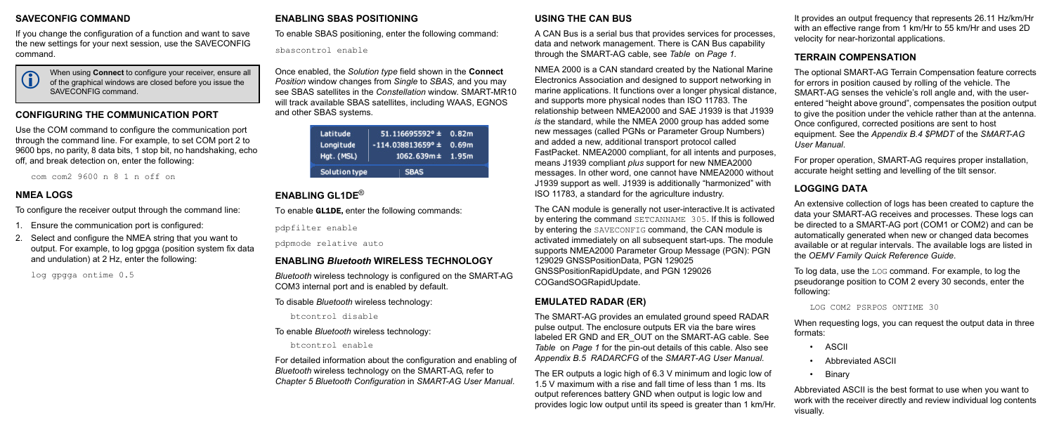#### **SAVECONFIG COMMAND**

If you change the configuration of a function and want to save the new settings for your next session, use the SAVECONFIG command.

#### **CONFIGURING THE COMMUNICATION PORT**

Use the COM command to configure the communication port through the command line. For example, to set COM port 2 to 9600 bps, no parity, 8 data bits, 1 stop bit, no handshaking, echo off, and break detection on, enter the following:

com com2 9600 n 8 1 n off on

#### **NMEA LOGS**

To configure the receiver output through the command line:

- 1. Ensure the communication port is configured:
- 2. Select and configure the NMEA string that you want to output. For example, to log gpgga (position system fix data and undulation) at 2 Hz, enter the following:

log gpgga ontime 0.5

#### **ENABLING SBAS POSITIONING**

To enable SBAS positioning, enter the following command:

sbascontrol enable

Once enabled, the *Solution type* field shown in the **Connect** *Position* window changes from *Single* to *SBAS,* and you may see SBAS satellites in the *Constellation* window. SMART-MR10 will track available SBAS satellites, including WAAS, EGNOS and other SBAS systems.

| Latitude<br>Longitude | $51.116695592° \pm 0.82m$<br>$-114.038813659^{\circ}$ ± 0.69m |  |
|-----------------------|---------------------------------------------------------------|--|
| Hgt. (MSL)            | $1062.639m \pm 1.95m$                                         |  |
| Solution type         | <b>SBAS</b>                                                   |  |

# **ENABLING GL1DE**®

To enable **GL1DE**, enter the following commands:

pdpfilter enable

pdpmode relative auto

#### **ENABLING** *Bluetooth* **WIRELESS TECHNOLOGY**

*Bluetooth* wireless technology is configured on the SMART-AG COM3 internal port and is enabled by default.

To disable *Bluetooth* wireless technology:

btcontrol disable

#### To enable *Bluetooth* wireless technology:

btcontrol enable

For detailed information about the configuration and enabling of *Bluetooth* wireless technology on the SMART-AG, refer to *Chapter 5 Bluetooth Configuration* in *SMART-AG User Manual*.

#### **USING THE CAN BUS**

A CAN Bus is a serial bus that provides services for processes, data and network management. There is CAN Bus capability through the SMART-AG cable, see *[Table](#page-0-0)* on *Page 1.*

NMEA 2000 is a CAN standard created by the National Marine Electronics Association and designed to support networking in marine applications. It functions over a longer physical distance, and supports more physical nodes than ISO 11783. The relationship between NMEA2000 and SAE J1939 is that J1939 *is* the standard, while the NMEA 2000 group has added some new messages (called PGNs or Parameter Group Numbers) and added a new, additional transport protocol called FastPacket. NMEA2000 compliant, for all intents and purposes, means J1939 compliant *plus* support for new NMEA2000 messages. In other word, one cannot have NMEA2000 without J1939 support as well. J1939 is additionally "harmonized" with ISO 11783, a standard for the agriculture industry.

When using **Connect** to configure your receiver, ensure all<br>
of the graphical windows are closed before you issue the<br>
of the graphical surface of the state of the state of the state of the state of the state of the state SAVECONFIG command.

> The CAN module is generally not user-interactive.It is activated by entering the command SETCANNAME 305. If this is followed by entering the SAVECONFIG command, the CAN module is activated immediately on all subsequent start-ups. The module supports NMEA2000 Parameter Group Message (PGN): PGN 129029 GNSSPositionData, PGN 129025 GNSSPositionRapidUpdate, and PGN 129026 COGandSOGRapidUpdate.

# **EMULATED RADAR (ER)**

The SMART-AG provides an emulated ground speed RADAR pulse output. The enclosure outputs ER via the bare wires labeled ER GND and ER OUT on the SMART-AG cable. See *[Table](#page-0-0)* on *Page 1* for the pin-out details of this cable. Also see *Appendix B.5 RADARCFG* of the *SMART-AG User Manual.*

The ER outputs a logic high of 6.3 V minimum and logic low of 1.5 V maximum with a rise and fall time of less than 1 ms. Its output references battery GND when output is logic low and provides logic low output until its speed is greater than 1 km/Hr. It provides an output frequency that represents 26.11 Hz/km/Hr with an effective range from 1 km/Hr to 55 km/Hr and uses 2D velocity for near-horizontal applications.

# **TERRAIN COMPENSATION**

The optional SMART-AG Terrain Compensation feature corrects for errors in position caused by rolling of the vehicle. The SMART-AG senses the vehicle's roll angle and, with the userentered "height above ground", compensates the position output to give the position under the vehicle rather than at the antenna. Once configured, corrected positions are sent to host equipment. See the *Appendix B.4 \$PMDT* of the *SMART-AG User Manual*.

For proper operation, SMART-AG requires proper installation, accurate height setting and levelling of the tilt sensor.

# **LOGGING DATA**

An extensive collection of logs has been created to capture the data your SMART-AG receives and processes. These logs can be directed to a SMART-AG port (COM1 or COM2) and can be automatically generated when new or changed data becomes available or at regular intervals. The available logs are listed in the *OEMV Family Quick Reference Guide*.

To log data, use the LOG command. For example, to log the pseudorange position to COM 2 every 30 seconds, enter the following:

```
LOG COM2 PSRPOS ONTIME 30
```
When requesting logs, you can request the output data in three formats:

- ASCII
- Abbreviated ASCII
- Binary

Abbreviated ASCII is the best format to use when you want to work with the receiver directly and review individual log contents visually.